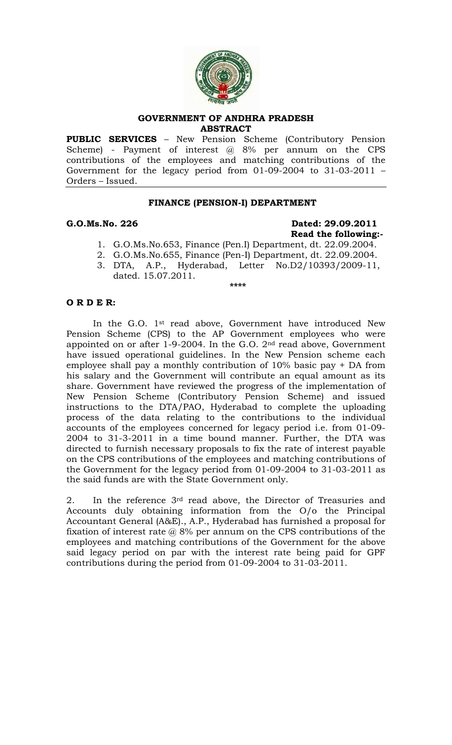

### **GOVERNMENT OF ANDHRA PRADESH ABSTRACT**

**PUBLIC SERVICES** – New Pension Scheme (Contributory Pension Scheme) - Payment of interest  $\omega$  8% per annum on the CPS contributions of the employees and matching contributions of the Government for the legacy period from 01-09-2004 to 31-03-2011 – Orders – Issued.

## **FINANCE (PENSION-I) DEPARTMENT**

# **G.O.Ms.No. 226 Dated: 29.09.2011 Read the following:-**

- 1. G.O.Ms.No.653, Finance (Pen.I) Department, dt. 22.09.2004.
- 2. G.O.Ms.No.655, Finance (Pen-I) Department, dt. 22.09.2004.
- 3. DTA, A.P., Hyderabad, Letter No.D2/10393/2009-11, dated. 15.07.2011.  **\*\*\*\***

## **O R D E R:**

In the G.O. 1st read above, Government have introduced New Pension Scheme (CPS) to the AP Government employees who were appointed on or after 1-9-2004. In the G.O. 2nd read above, Government have issued operational guidelines. In the New Pension scheme each employee shall pay a monthly contribution of 10% basic pay + DA from his salary and the Government will contribute an equal amount as its share. Government have reviewed the progress of the implementation of New Pension Scheme (Contributory Pension Scheme) and issued instructions to the DTA/PAO, Hyderabad to complete the uploading process of the data relating to the contributions to the individual accounts of the employees concerned for legacy period i.e. from 01-09- 2004 to 31-3-2011 in a time bound manner. Further, the DTA was directed to furnish necessary proposals to fix the rate of interest payable on the CPS contributions of the employees and matching contributions of the Government for the legacy period from 01-09-2004 to 31-03-2011 as the said funds are with the State Government only.

2. In the reference 3rd read above, the Director of Treasuries and Accounts duly obtaining information from the O/o the Principal Accountant General (A&E)., A.P., Hyderabad has furnished a proposal for fixation of interest rate  $\omega$  8% per annum on the CPS contributions of the employees and matching contributions of the Government for the above said legacy period on par with the interest rate being paid for GPF contributions during the period from 01-09-2004 to 31-03-2011.